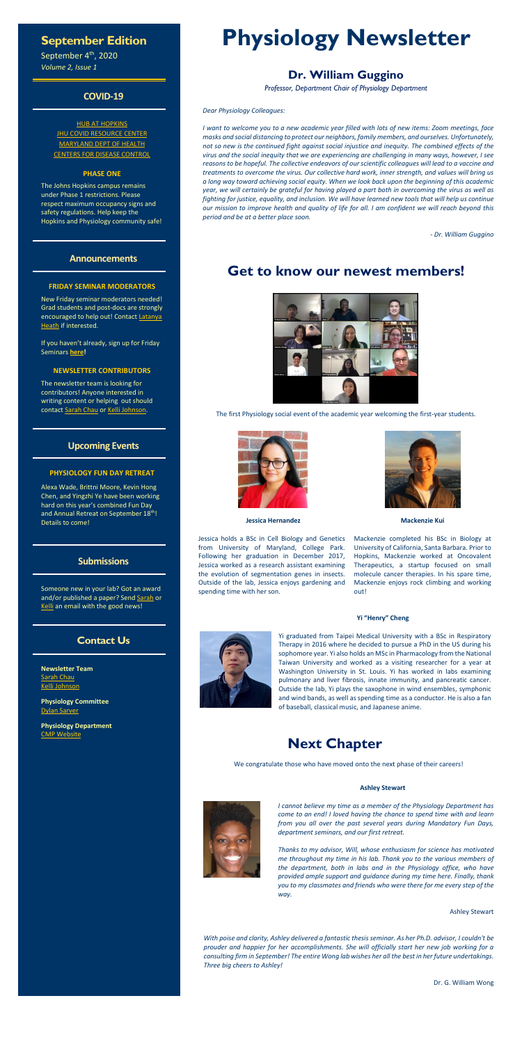## **September Edition**

September 4<sup>th</sup>, 2020 *Volume 2, Issue 1*

### **COVID-19**

**[HUB AT HOPKINS](https://hub.jhu.edu/novel-coronavirus-information/) JHU COVID [RESOURCE CENTER](https://coronavirus.jhu.edu/)** [MARYLAND DEPT OF HEALTH](https://coronavirus.maryland.gov/) [CENTERS FOR DISEASE CONTROL](https://www.cdc.gov/coronavirus/2019-ncov/index.html)

### **PHASE ONE**

The Johns Hopkins campus remains under Phase 1 restrictions. Please respect maximum occupancy signs and safety regulations. Help keep the Hopkins and Physiology community safe!

The newsletter team is looking for contributors! Anyone interested in writing content or helping out should contac[t Sarah](mailto:schau2@jhmi.edu?subject=Newsletter) Chau o[r Kelli Johnson.](mailto:kjohn166@jhmi.edu?subject=Newsletter)

### **Announcements**

### **FRIDAY SEMINAR MODERATORS**

New Friday seminar moderators needed! Grad students and post-docs are strongly encouraged to help out! Contact Latanya [Heath](mailto:lheath2@jhmi.edu?subject=Friday%20Seminar%20Moderator) if interested.

If you haven't already, sign up for Friday Seminars **[here!](https://doodle.com/poll/em7enp8rm5qa6m3v)**

### **NEWSLETTER CONTRIBUTORS**

### **Upcoming Events**

### **PHYSIOLOGY FUN DAY RETREAT**

Alexa Wade, Brittni Moore, Kevin Hong Chen, and Yingzhi Ye have been working hard on this year's combined Fun Day and Annual Retreat on September 18th! Details to come!

### **Submissions**

Someone new in your lab? Got an award

### **Contact Us**

**Newsletter Team** [Sarah Chau](mailto:schau2@jhmi.edu?subject=Newsletter) [Kelli Johnson](mailto:kjohn166@jhmi.edu?subject=Newsletter)

**Physiology Committee** [Dylan Sarver](mailto:dsarver1@jhmi.edu?subject=Newsletter)

**Physiology Department** [CMP Website](http://physiology.bs.jhmi.edu/)

# **Physiology Newsletter**

# **Dr. William Guggino**

*Professor, Department Chair of Physiology Department*

*Dear Physiology Colleagues:*

*I want to welcome you to a new academic year filled with lots of new items: Zoom meetings, face masks and social distancing to protect our neighbors, family members, and ourselves. Unfortunately, not so new is the continued fight against social injustice and inequity. The combined effects of the virus and the social inequity that we are experiencing are challenging in many ways, however, I see reasons to be hopeful. The collective endeavors of our scientific colleagues will lead to a vaccine and treatments to overcome the virus. Our collective hard work, inner strength, and values will bring us a long way toward achieving social equity. When we look back upon the beginning of this academic year, we will certainly be grateful for having played a part both in overcoming the virus as well as fighting for justice, equality, and inclusion. We will have learned new tools that will help us continue our mission to improve health and quality of life for all. I am confident we will reach beyond this period and be at a better place soon.*

*- Dr. William Guggino*

# **Get to know our newest members!**



The first Physiology social event of the academic year welcoming the first-year students.



**Jessica Hernandez**

Jessica holds a BSc in Cell Biology and Genetics from University of Maryland, College Park. Following her graduation in December 2017, Jessica worked as a research assistant examining the evolution of segmentation genes in insects. Outside of the lab, Jessica enjoys gardening and spending time with her son.



**Mackenzie Kui**

Mackenzie completed his BSc in Biology at University of California, Santa Barbara. Prior to Hopkins, Mackenzie worked at Oncovalent Therapeutics, a startup focused on small molecule cancer therapies. In his spare time, Mackenzie enjoys rock climbing and working out!

and/or published a paper? Send [Sarah](mailto:schau2@jhmi.edu?subject=Newsletter) or [Kelli](mailto:kjohn166@jhmi.edu?subject=Newsletter) an email with the good news!

### **Yi "Henry" Cheng**



Yi graduated from Taipei Medical University with a BSc in Respiratory Therapy in 2016 where he decided to pursue a PhD in the US during his sophomore year. Yi also holds an MSc in Pharmacology from the National Taiwan University and worked as a visiting researcher for a year at Washington University in St. Louis. Yi has worked in labs examining pulmonary and liver fibrosis, innate immunity, and pancreatic cancer. Outside the lab, Yi plays the saxophone in wind ensembles, symphonic and wind bands, as well as spending time as a conductor. He is also a fan of baseball, classical music, and Japanese anime.

# **Next Chapter**

We congratulate those who have moved onto the next phase of their careers!

**Ashley Stewart**

*I cannot believe my time as a member of the Physiology Department has come to an end! I loved having the chance to spend time with and learn from you all over the past several years during Mandatory Fun Days, department seminars, and our first retreat.*

*Thanks to my advisor, Will, whose enthusiasm for science has motivated me throughout my time in his lab. Thank you to the various members of the department, both in labs and in the Physiology office, who have provided ample support and guidance during my time here. Finally, thank you to my classmates and friends who were there for me every step of the way.*

Ashley Stewart

*With poise and clarity, Ashley delivered a fantastic thesis seminar. As her Ph.D. advisor, I couldn't be prouder and happier for her accomplishments. She will officially start her new job working for a consulting firm in September! The entire Wong lab wishes her all the best in her future undertakings. Three big cheers to Ashley!*

Dr. G. William Wong